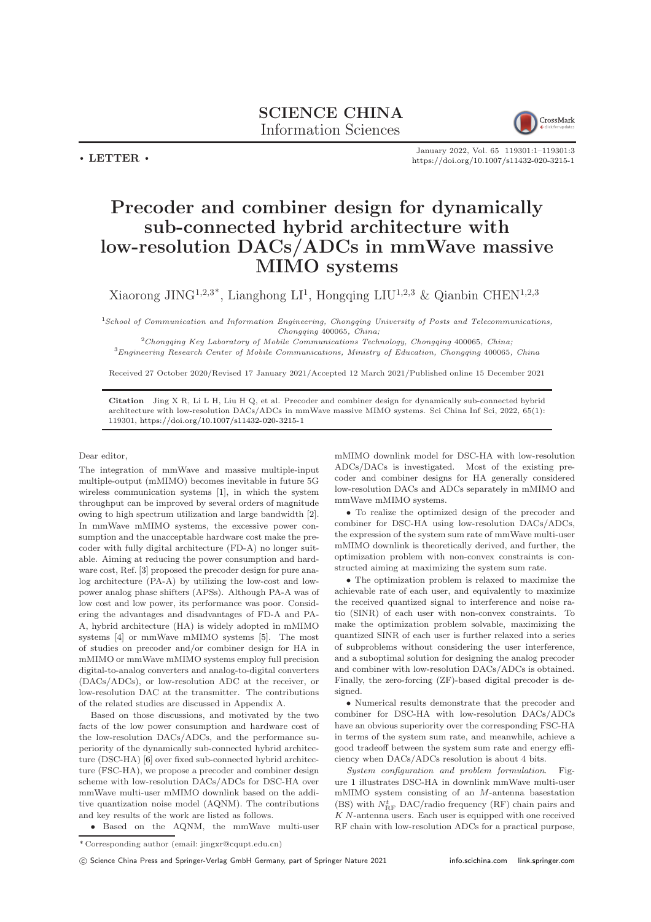

January 2022, Vol. 65 119301:1–119301[:3](#page-2-0) <https://doi.org/10.1007/s11432-020-3215-1>

## Precoder and combiner design for dynamically sub-connected hybrid architecture with low-resolution DACs/ADCs in mmWave massive MIMO systems

Xiaorong JING<sup>1,2,3\*</sup>, Lianghong LI<sup>1</sup>, Hongqing LIU<sup>1,2,3</sup> & Qianbin CHEN<sup>1,2,3</sup>

<sup>1</sup>School of Communication and Information Engineering, Chongqing University of Posts and Telecommunications, Chongqing 400065, China;

<sup>2</sup>Chongqing Key Laboratory of Mobile Communications Technology, Chongqing 400065, China; <sup>3</sup>Engineering Research Center of Mobile Communications, Ministry of Education, Chongqing 400065, China

Received 27 October 2020/Revised 17 January 2021/Accepted 12 March 2021/Published online 15 December 2021

Citation Jing X R, Li L H, Liu H Q, et al. Precoder and combiner design for dynamically sub-connected hybrid architecture with low-resolution DACs/ADCs in mmWave massive MIMO systems. Sci China Inf Sci, 2022, 65(1): 119301, <https://doi.org/10.1007/s11432-020-3215-1>

## Dear editor,

 $\cdot$  LETTER  $\cdot$ 

The integration of mmWave and massive multiple-input multiple-output (mMIMO) becomes inevitable in future 5G wireless communication systems [\[1\]](#page-2-1), in which the system throughput can be improved by several orders of magnitude owing to high spectrum utilization and large bandwidth [\[2\]](#page-2-2). In mmWave mMIMO systems, the excessive power consumption and the unacceptable hardware cost make the precoder with fully digital architecture (FD-A) no longer suitable. Aiming at reducing the power consumption and hardware cost, Ref. [\[3\]](#page-2-3) proposed the precoder design for pure analog architecture (PA-A) by utilizing the low-cost and lowpower analog phase shifters (APSs). Although PA-A was of low cost and low power, its performance was poor. Considering the advantages and disadvantages of FD-A and PA-A, hybrid architecture (HA) is widely adopted in mMIMO systems [\[4\]](#page-2-4) or mmWave mMIMO systems [\[5\]](#page-2-5). The most of studies on precoder and/or combiner design for HA in mMIMO or mmWave mMIMO systems employ full precision digital-to-analog converters and analog-to-digital converters (DACs/ADCs), or low-resolution ADC at the receiver, or low-resolution DAC at the transmitter. The contributions of the related studies are discussed in Appendix A.

Based on those discussions, and motivated by the two facts of the low power consumption and hardware cost of the low-resolution DACs/ADCs, and the performance superiority of the dynamically sub-connected hybrid architecture (DSC-HA) [\[6\]](#page-2-6) over fixed sub-connected hybrid architecture (FSC-HA), we propose a precoder and combiner design scheme with low-resolution DACs/ADCs for DSC-HA over mmWave multi-user mMIMO downlink based on the additive quantization noise model (AQNM). The contributions and key results of the work are listed as follows.

• Based on the AQNM, the mmWave multi-user

mMIMO downlink model for DSC-HA with low-resolution ADCs/DACs is investigated. Most of the existing precoder and combiner designs for HA generally considered low-resolution DACs and ADCs separately in mMIMO and mmWave mMIMO systems.

• To realize the optimized design of the precoder and combiner for DSC-HA using low-resolution DACs/ADCs, the expression of the system sum rate of mmWave multi-user mMIMO downlink is theoretically derived, and further, the optimization problem with non-convex constraints is constructed aiming at maximizing the system sum rate.

• The optimization problem is relaxed to maximize the achievable rate of each user, and equivalently to maximize the received quantized signal to interference and noise ratio (SINR) of each user with non-convex constraints. To make the optimization problem solvable, maximizing the quantized SINR of each user is further relaxed into a series of subproblems without considering the user interference, and a suboptimal solution for designing the analog precoder and combiner with low-resolution DACs/ADCs is obtained. Finally, the zero-forcing (ZF)-based digital precoder is designed.

• Numerical results demonstrate that the precoder and combiner for DSC-HA with low-resolution DACs/ADCs have an obvious superiority over the corresponding FSC-HA in terms of the system sum rate, and meanwhile, achieve a good tradeoff between the system sum rate and energy efficiency when DACs/ADCs resolution is about 4 bits.

System configuration and problem formulation. Figure [1](#page-1-0) illustrates DSC-HA in downlink mmWave multi-user mMIMO system consisting of an M-antenna basestation (BS) with  $N_{\text{RF}}^{t}$  DAC/radio frequency (RF) chain pairs and K N-antenna users. Each user is equipped with one received RF chain with low-resolution ADCs for a practical purpose,

c Science China Press and Springer-Verlag GmbH Germany, part of Springer Nature 2021 <info.scichina.com><link.springer.com>

<sup>\*</sup> Corresponding author (email: jingxr@cqupt.edu.cn)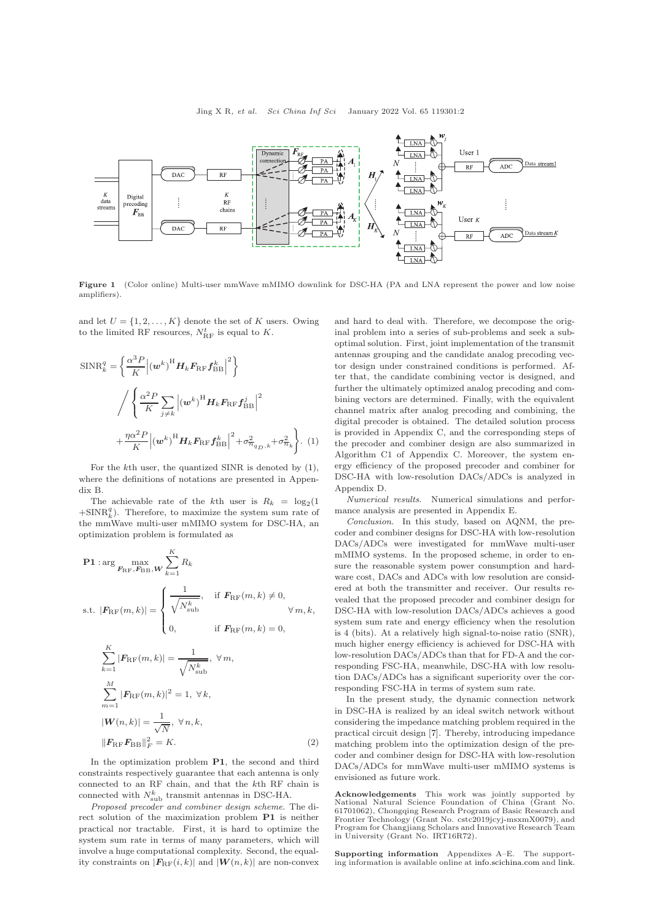<span id="page-1-0"></span>

Figure 1 (Color online) Multi-user mmWave mMIMO downlink for DSC-HA (PA and LNA represent the power and low noise amplifiers).

and let  $U = \{1, 2, ..., K\}$  denote the set of K users. Owing to the limited RF resources,  $N_{\text{RF}}^{t}$  is equal to K.

$$
\begin{split} \text{SINR}_{k}^{q} &= \left\{ \frac{\alpha^{3} P}{K} \Big| \left( \boldsymbol{w}^{k} \right)^{\text{H}} \boldsymbol{H}_{k} \boldsymbol{F}_{\text{RF}} \boldsymbol{f}_{\text{BB}}^{k} \Big|^{2} \right\} \\ & \Big/ \left\{ \frac{\alpha^{2} P}{K} \sum_{j \neq k} \Big| \left( \boldsymbol{w}^{k} \right)^{\text{H}} \boldsymbol{H}_{k} \boldsymbol{F}_{\text{RF}} \boldsymbol{f}_{\text{BB}}^{j} \Big|^{2} \right. \\ & \left. + \frac{\eta \alpha^{2} P}{K} \Big| \left( \boldsymbol{w}^{k} \right)^{\text{H}} \boldsymbol{H}_{k} \boldsymbol{F}_{\text{RF}} \boldsymbol{f}_{\text{BB}}^{k} \Big|^{2} + \sigma_{\eta_{q_D,k}}^{2} + \sigma_{\eta_{k}}^{2} \right\}. \end{split} \tag{1}
$$

For the kth user, the quantized SINR is denoted by [\(1\)](#page-1-1), where the definitions of notations are presented in Appendix B.

The achievable rate of the kth user is  $R_k = \log_2(1$  $+\text{SINR}_{k}^{q}$ ). Therefore, to maximize the system sum rate of the mmWave multi-user mMIMO system for DSC-HA, an optimization problem is formulated as

$$
\begin{aligned} \mathbf{P1} &:\arg\max_{\mathbf{F}_{\text{RF}}, \mathbf{F}_{\text{BB}}, \mathbf{W}} \sum_{k=1}^{K} R_k \\ \text{s.t. } |\mathbf{F}_{\text{RF}}(m, k)| &= \begin{cases} \n\frac{1}{\sqrt{N_{\text{sub}}^k}}, & \text{if } \mathbf{F}_{\text{RF}}(m, k) \neq 0, \\ \n0, & \text{if } \mathbf{F}_{\text{RF}}(m, k) = 0, \n\end{cases} \\ \n\sum_{k=1}^{K} |\mathbf{F}_{\text{RF}}(m, k)| &= \frac{1}{\sqrt{N_{\text{sub}}^k}}, \ \forall \, m, \n\end{aligned}
$$

$$
\sum_{m=1}^{M} |\mathbf{F}_{\text{RF}}(m,k)|^2 = 1, \ \forall k,
$$
  

$$
|\mathbf{W}(n,k)| = \frac{1}{\sqrt{N}}, \ \forall n,k,
$$
  

$$
||\mathbf{F}_{\text{RF}} \mathbf{F}_{\text{BB}}||_F^2 = K.
$$
 (2)

In the optimization problem P1, the second and third constraints respectively guarantee that each antenna is only connected to an RF chain, and that the kth RF chain is connected with  $N_{sub}^k$  transmit antennas in DSC-HA.

Proposed precoder and combiner design scheme. The direct solution of the maximization problem P1 is neither practical nor tractable. First, it is hard to optimize the system sum rate in terms of many parameters, which will involve a huge computational complexity. Second, the equality constraints on  $|F_{\text{RF}}(i,k)|$  and  $|W(n,k)|$  are non-convex

and hard to deal with. Therefore, we decompose the original problem into a series of sub-problems and seek a suboptimal solution. First, joint implementation of the transmit antennas grouping and the candidate analog precoding vector design under constrained conditions is performed. After that, the candidate combining vector is designed, and further the ultimately optimized analog precoding and combining vectors are determined. Finally, with the equivalent channel matrix after analog precoding and combining, the digital precoder is obtained. The detailed solution process is provided in Appendix C, and the corresponding steps of the precoder and combiner design are also summarized in Algorithm C1 of Appendix C. Moreover, the system energy efficiency of the proposed precoder and combiner for DSC-HA with low-resolution DACs/ADCs is analyzed in Appendix D.

<span id="page-1-1"></span>Numerical results. Numerical simulations and performance analysis are presented in Appendix E.

Conclusion. In this study, based on AQNM, the precoder and combiner designs for DSC-HA with low-resolution DACs/ADCs were investigated for mmWave multi-user mMIMO systems. In the proposed scheme, in order to ensure the reasonable system power consumption and hardware cost, DACs and ADCs with low resolution are considered at both the transmitter and receiver. Our results revealed that the proposed precoder and combiner design for DSC-HA with low-resolution DACs/ADCs achieves a good system sum rate and energy efficiency when the resolution is 4 (bits). At a relatively high signal-to-noise ratio (SNR), much higher energy efficiency is achieved for DSC-HA with low-resolution DACs/ADCs than that for FD-A and the corresponding FSC-HA, meanwhile, DSC-HA with low resolution DACs/ADCs has a significant superiority over the corresponding FSC-HA in terms of system sum rate.

In the present study, the dynamic connection network in DSC-HA is realized by an ideal switch network without considering the impedance matching problem required in the practical circuit design [\[7\]](#page-2-7). Thereby, introducing impedance matching problem into the optimization design of the precoder and combiner design for DSC-HA with low-resolution DACs/ADCs for mmWave multi-user mMIMO systems is envisioned as future work.

Acknowledgements This work was jointly supported by National Natural Science Foundation of China (Grant No. 61701062), Chongqing Research Program of Basic Research and Frontier Technology (Grant No. cstc2019jcyj-msxmX0079), and Program for Changjiang Scholars and Innovative Research Team in University (Grant No. IRT16R72).

Supporting information Appendixes A–E. The supporting information is available online at <info.scichina.com> and [link.](link.springer.com)